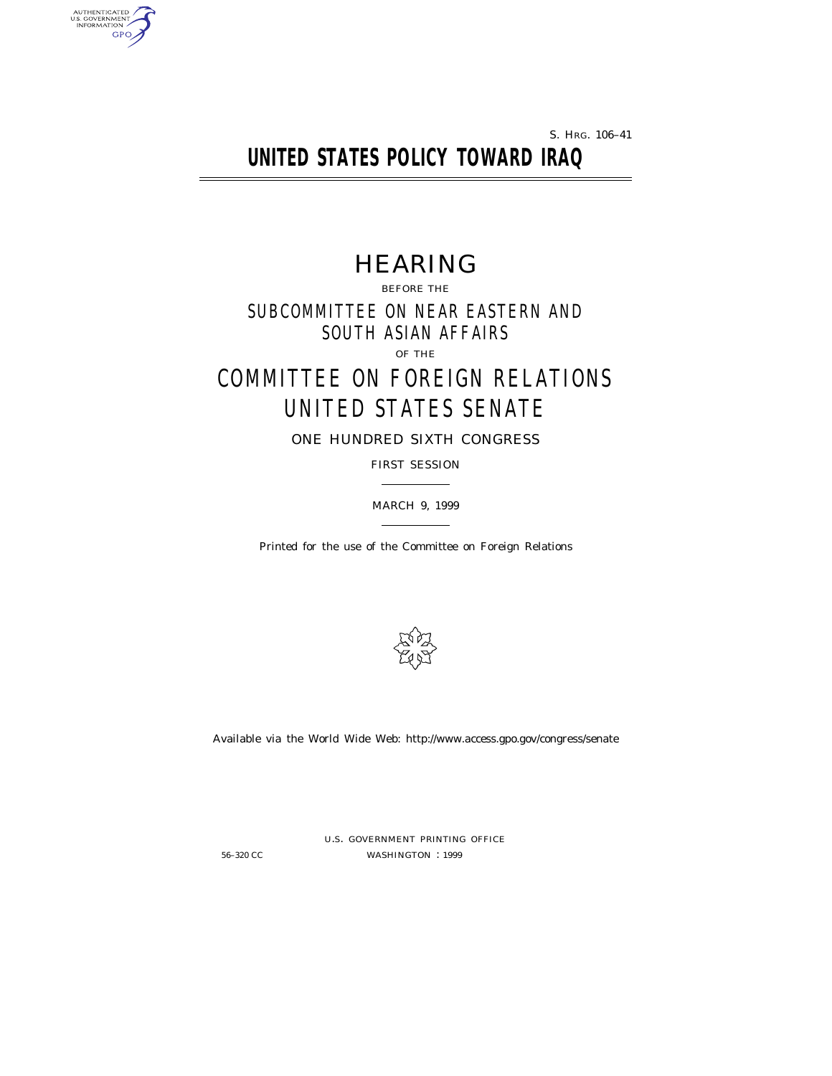S. HRG. 106–41

# **UNITED STATES POLICY TOWARD IRAQ**

# HEARING

BEFORE THE SUBCOMMITTEE ON NEAR EASTERN AND SOUTH ASIAN AFFAIRS OF THE

# COMMITTEE ON FOREIGN RELATIONS UNITED STATES SENATE

ONE HUNDRED SIXTH CONGRESS

FIRST SESSION

MARCH 9, 1999

Printed for the use of the Committee on Foreign Relations



Available via the World Wide Web: http://www.access.gpo.gov/congress/senate

AUTHENTICATED<br>U.S. GOVERNMENT<br>INFORMATION GPO

> U.S. GOVERNMENT PRINTING OFFICE 56-320 CC WASHINGTON : 1999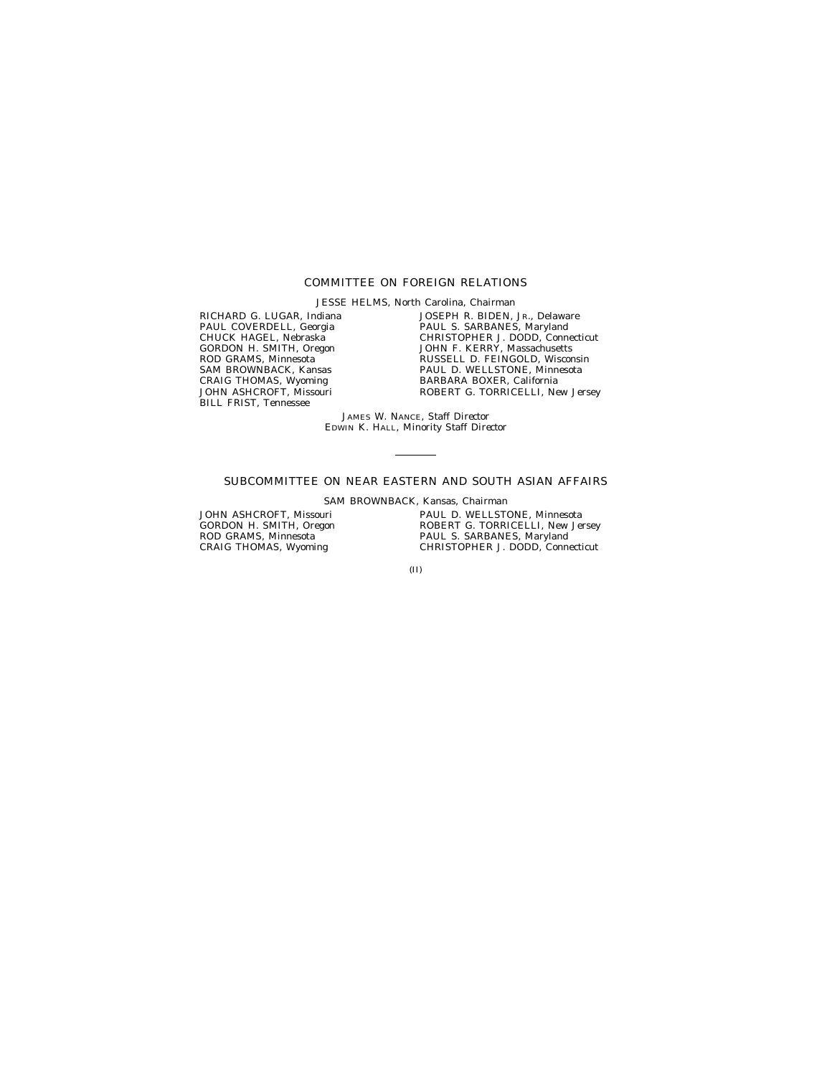## COMMITTEE ON FOREIGN RELATIONS

JESSE HELMS, North Carolina, *Chairman*

RICHARD G. LUGAR, Indiana PAUL COVERDELL, Georgia CHUCK HAGEL, Nebraska GORDON H. SMITH, Oregon ROD GRAMS, Minnesota SAM BROWNBACK, Kansas CRAIG THOMAS, Wyoming JOHN ASHCROFT, Missouri BILL FRIST, Tennessee

JOSEPH R. BIDEN, JR., Delaware PAUL S. SARBANES, Maryland CHRISTOPHER J. DODD, Connecticut JOHN F. KERRY, Massachusetts RUSSELL D. FEINGOLD, Wisconsin PAUL D. WELLSTONE, Minnesota BARBARA BOXER, California ROBERT G. TORRICELLI, New Jersey

JAMES W. NANCE, *Staff Director* EDWIN K. HALL, *Minority Staff Director*

## SUBCOMMITTEE ON NEAR EASTERN AND SOUTH ASIAN AFFAIRS

SAM BROWNBACK, Kansas, *Chairman*

JOHN ASHCROFT, Missouri GORDON H. SMITH, Oregon ROD GRAMS, Minnesota CRAIG THOMAS, Wyoming

PAUL D. WELLSTONE, Minnesota ROBERT G. TORRICELLI, New Jersey PAUL S. SARBANES, Maryland CHRISTOPHER J. DODD, Connecticut

(II)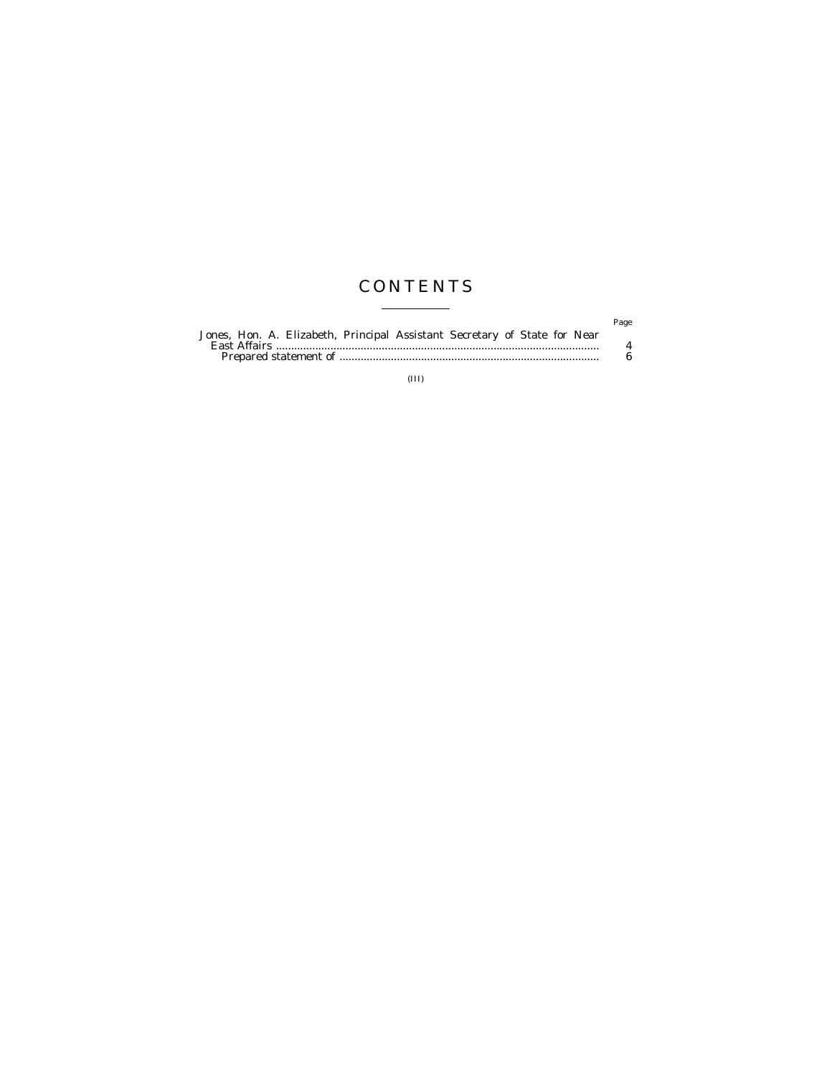# **CONTENTS**  $\begin{tabular}{lcccccc} \multicolumn{2}{c|}{\textbf{1} & \textbf{1} & \textbf{1} & \textbf{1} & \textbf{1} & \textbf{1} & \textbf{1} & \textbf{1} & \textbf{1} & \textbf{1} & \textbf{1} & \textbf{1} & \textbf{1} & \textbf{1} & \textbf{1} & \textbf{1} & \textbf{1} & \textbf{1} & \textbf{1} & \textbf{1} & \textbf{1} & \textbf{1} & \textbf{1} & \textbf{1} & \textbf{1} & \textbf{1} & \textbf{1} & \textbf{1} & \textbf{$

|                                                                           | Page |
|---------------------------------------------------------------------------|------|
| Jones, Hon. A. Elizabeth, Principal Assistant Secretary of State for Near |      |
|                                                                           |      |
|                                                                           |      |

(III)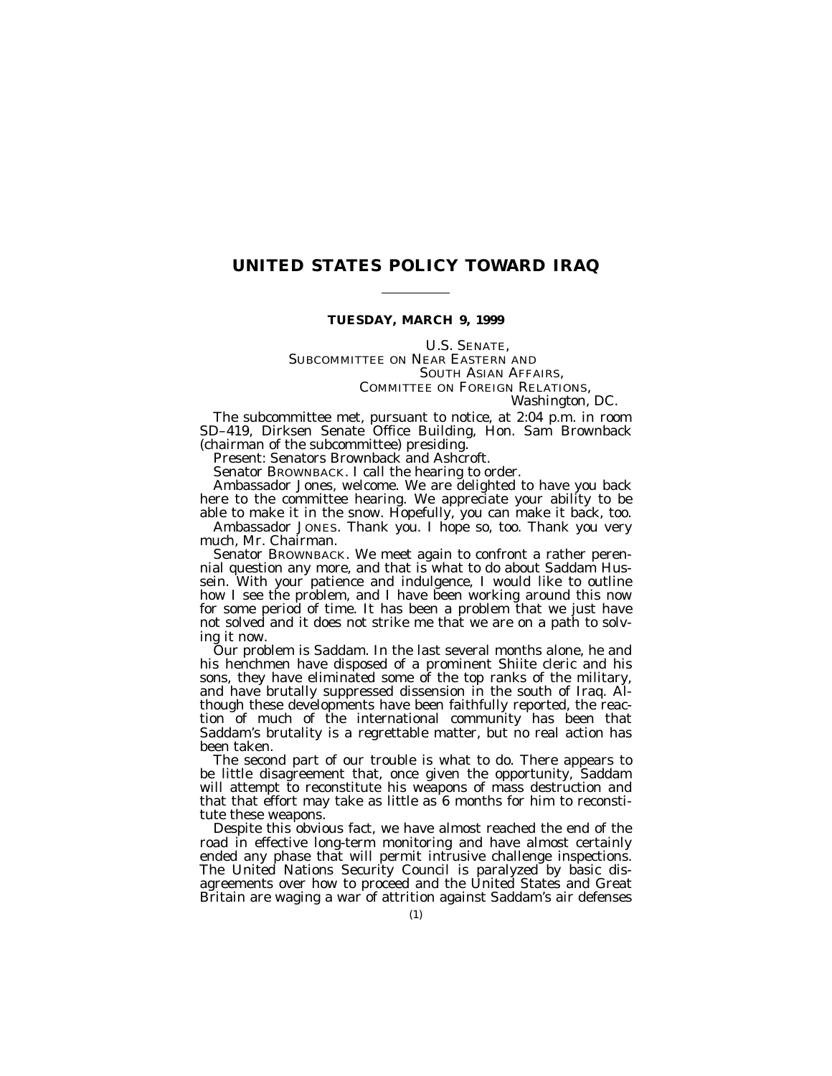## **UNITED STATES POLICY TOWARD IRAQ**

### **TUESDAY, MARCH 9, 1999**

U.S. SENATE, SUBCOMMITTEE ON NEAR EASTERN AND SOUTH ASIAN AFFAIRS, COMMITTEE ON FOREIGN RELATIONS, *Washington, DC.*

The subcommittee met, pursuant to notice, at 2:04 p.m. in room SD–419, Dirksen Senate Office Building, Hon. Sam Brownback (chairman of the subcommittee) presiding.

Present: Senators Brownback and Ashcroft.

Senator BROWNBACK. I call the hearing to order.

Ambassador Jones, welcome. We are delighted to have you back here to the committee hearing. We appreciate your ability to be able to make it in the snow. Hopefully, you can make it back, too.

Ambassador JONES. Thank you. I hope so, too. Thank you very much, Mr. Chairman.

Senator BROWNBACK. We meet again to confront a rather perennial question any more, and that is what to do about Saddam Hussein. With your patience and indulgence, I would like to outline how I see the problem, and I have been working around this now for some period of time. It has been a problem that we just have not solved and it does not strike me that we are on a path to solving it now.

Our problem is Saddam. In the last several months alone, he and his henchmen have disposed of a prominent Shiite cleric and his sons, they have eliminated some of the top ranks of the military, and have brutally suppressed dissension in the south of Iraq. Although these developments have been faithfully reported, the reaction of much of the international community has been that Saddam's brutality is a regrettable matter, but no real action has been taken.

The second part of our trouble is what to do. There appears to be little disagreement that, once given the opportunity, Saddam will attempt to reconstitute his weapons of mass destruction and that that effort may take as little as  $6$  months for him to reconstitute these weapons.

Despite this obvious fact, we have almost reached the end of the road in effective long-term monitoring and have almost certainly ended any phase that will permit intrusive challenge inspections. The United Nations Security Council is paralyzed by basic disagreements over how to proceed and the United States and Great Britain are waging a war of attrition against Saddam's air defenses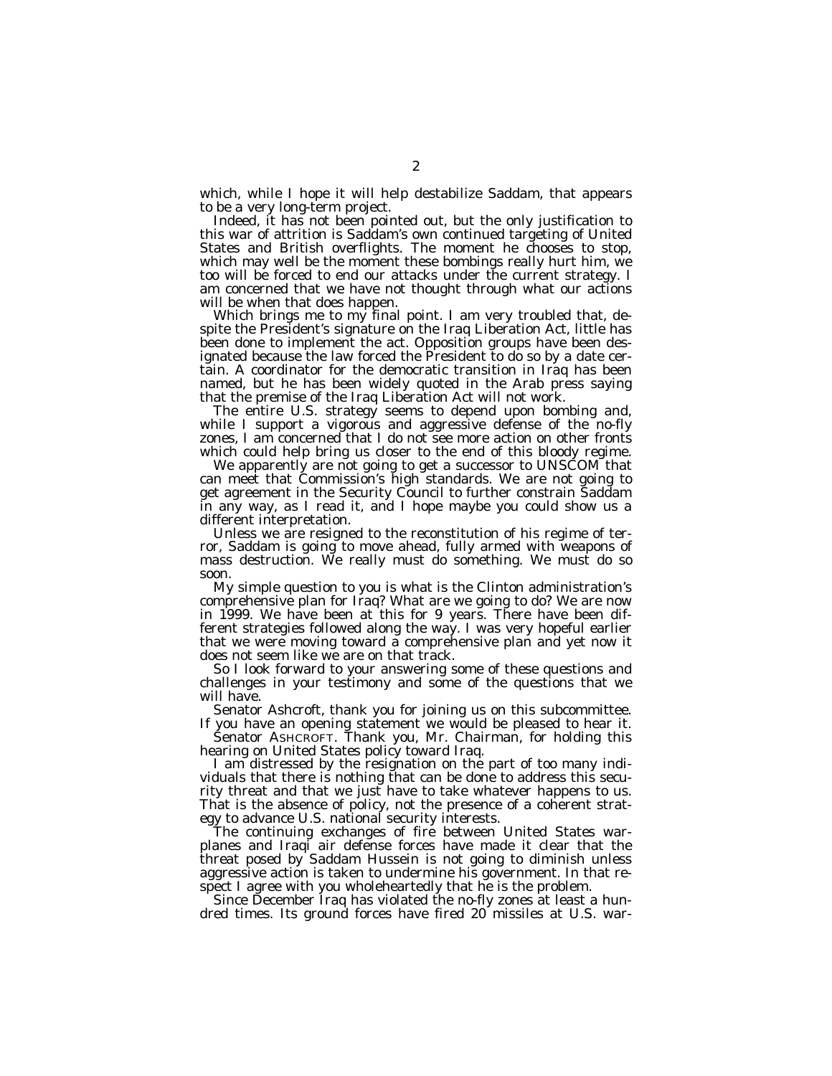which, while I hope it will help destabilize Saddam, that appears to be a very long-term project.

Indeed, it has not been pointed out, but the only justification to this war of attrition is Saddam's own continued targeting of United States and British overflights. The moment he chooses to stop, which may well be the moment these bombings really hurt him, we too will be forced to end our attacks under the current strategy. I am concerned that we have not thought through what our actions will be when that does happen.

Which brings me to my final point. I am very troubled that, despite the President's signature on the Iraq Liberation Act, little has been done to implement the act. Opposition groups have been designated because the law forced the President to do so by a date certain. A coordinator for the democratic transition in Iraq has been named, but he has been widely quoted in the Arab press saying that the premise of the Iraq Liberation Act will not work.

The entire U.S. strategy seems to depend upon bombing and, while I support a vigorous and aggressive defense of the no-fly zones, I am concerned that I do not see more action on other fronts which could help bring us closer to the end of this bloody regime.

We apparently are not going to get a successor to UNSCOM that can meet that Commission's high standards. We are not going to get agreement in the Security Council to further constrain Saddam in any way, as I read it, and I hope maybe you could show us a different interpretation.

Unless we are resigned to the reconstitution of his regime of terror, Saddam is going to move ahead, fully armed with weapons of mass destruction. We really must do something. We must do so soon.

My simple question to you is what is the Clinton administration's comprehensive plan for Iraq? What are we going to do? We are now in 1999. We have been at this for 9 years. There have been different strategies followed along the way. I was very hopeful earlier that we were moving toward a comprehensive plan and yet now it does not seem like we are on that track.

So I look forward to your answering some of these questions and challenges in your testimony and some of the questions that we will have.

Senator Ashcroft, thank you for joining us on this subcommittee.

If you have an opening statement we would be pleased to hear it. Senator ASHCROFT. Thank you, Mr. Chairman, for holding this hearing on United States policy toward Iraq.

I am distressed by the resignation on the part of too many individuals that there is nothing that can be done to address this security threat and that we just have to take whatever happens to us. That is the absence of policy, not the presence of a coherent strategy to advance U.S. national security interests.

The continuing exchanges of fire between United States warplanes and Iraqi air defense forces have made it clear that the threat posed by Saddam Hussein is not going to diminish unless aggressive action is taken to undermine his government. In that respect I agree with you wholeheartedly that he is the problem.

Since December Iraq has violated the no-fly zones at least a hundred times. Its ground forces have fired 20 missiles at U.S. war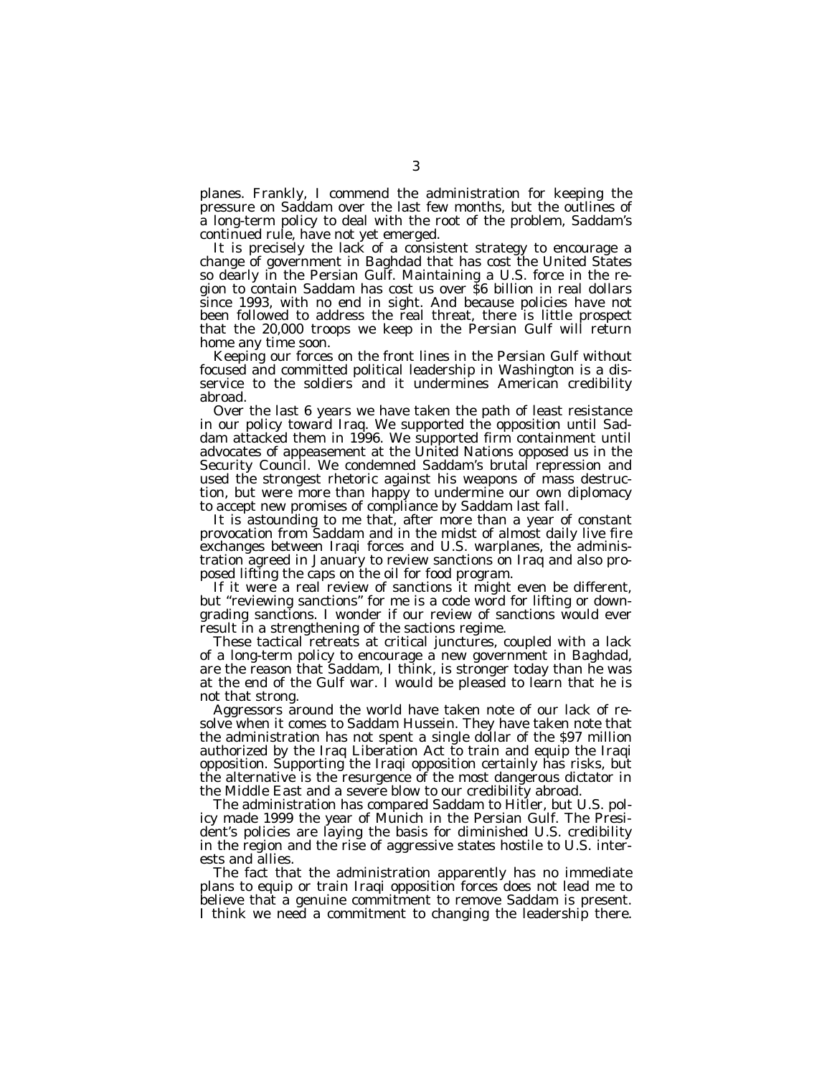planes. Frankly, I commend the administration for keeping the pressure on Saddam over the last few months, but the outlines of a long-term policy to deal with the root of the problem, Saddam's continued rule, have not yet emerged.

It is precisely the lack of a consistent strategy to encourage a change of government in Baghdad that has cost the United States so dearly in the Persian Gulf. Maintaining a U.S. force in the region to contain Saddam has cost us over \$6 billion in real dollars since 1993, with no end in sight. And because policies have not been followed to address the real threat, there is little prospect that the 20,000 troops we keep in the Persian Gulf will return home any time soon.

Keeping our forces on the front lines in the Persian Gulf without focused and committed political leadership in Washington is a disservice to the soldiers and it undermines American credibility abroad.

Over the last 6 years we have taken the path of least resistance in our policy toward Iraq. We supported the opposition until Saddam attacked them in 1996. We supported firm containment until advocates of appeasement at the United Nations opposed us in the Security Council. We condemned Saddam's brutal repression and used the strongest rhetoric against his weapons of mass destruction, but were more than happy to undermine our own diplomacy to accept new promises of compliance by Saddam last fall.

It is astounding to me that, after more than a year of constant provocation from Saddam and in the midst of almost daily live fire exchanges between Iraqi forces and U.S. warplanes, the administration agreed in January to review sanctions on Iraq and also proposed lifting the caps on the oil for food program.

If it were a real review of sanctions it might even be different, but ''reviewing sanctions'' for me is a code word for lifting or downgrading sanctions. I wonder if our review of sanctions would ever result in a strengthening of the sactions regime.

These tactical retreats at critical junctures, coupled with a lack of a long-term policy to encourage a new government in Baghdad, are the reason that Saddam, I think, is stronger today than he was at the end of the Gulf war. I would be pleased to learn that he is not that strong.

Aggressors around the world have taken note of our lack of resolve when it comes to Saddam Hussein. They have taken note that the administration has not spent a single dollar of the \$97 million authorized by the Iraq Liberation Act to train and equip the Iraqi opposition. Supporting the Iraqi opposition certainly has risks, but the alternative is the resurgence of the most dangerous dictator in the Middle East and a severe blow to our credibility abroad.

The administration has compared Saddam to Hitler, but U.S. policy made 1999 the year of Munich in the Persian Gulf. The President's policies are laying the basis for diminished U.S. credibility in the region and the rise of aggressive states hostile to U.S. interests and allies.

The fact that the administration apparently has no immediate plans to equip or train Iraqi opposition forces does not lead me to believe that a genuine commitment to remove Saddam is present. I think we need a commitment to changing the leadership there.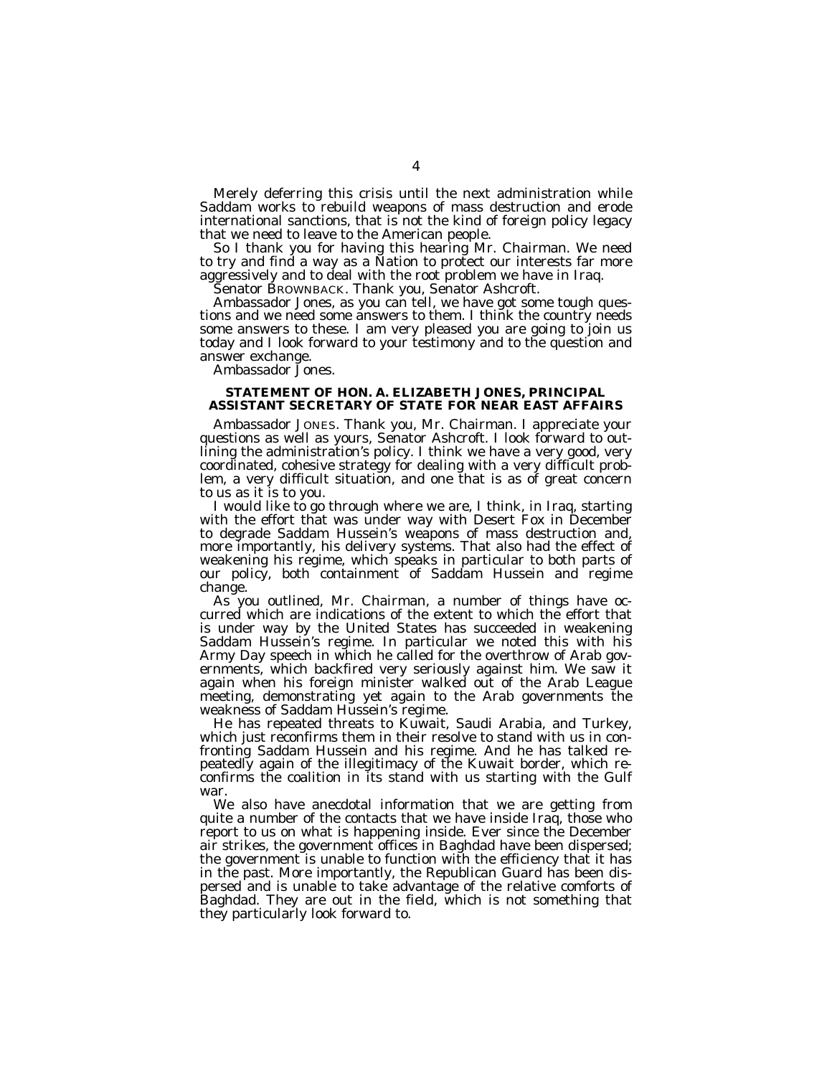Merely deferring this crisis until the next administration while Saddam works to rebuild weapons of mass destruction and erode international sanctions, that is not the kind of foreign policy legacy that we need to leave to the American people.

So I thank you for having this hearing Mr. Chairman. We need to try and find a way as a Nation to protect our interests far more aggressively and to deal with the root problem we have in Iraq.

Senator BROWNBACK. Thank you, Senator Ashcroft.

Ambassador Jones, as you can tell, we have got some tough questions and we need some answers to them. I think the country needs some answers to these. I am very pleased you are going to join us today and I look forward to your testimony and to the question and answer exchange.

Ambassador Jones.

#### **STATEMENT OF HON. A. ELIZABETH JONES, PRINCIPAL ASSISTANT SECRETARY OF STATE FOR NEAR EAST AFFAIRS**

Ambassador JONES. Thank you, Mr. Chairman. I appreciate your questions as well as yours, Senator Ashcroft. I look forward to outlining the administration's policy. I think we have a very good, very coordinated, cohesive strategy for dealing with a very difficult problem, a very difficult situation, and one that is as of great concern to us as it is to you.

I would like to go through where we are, I think, in Iraq, starting with the effort that was under way with Desert Fox in December to degrade Saddam Hussein's weapons of mass destruction and, more importantly, his delivery systems. That also had the effect of weakening his regime, which speaks in particular to both parts of our policy, both containment of Saddam Hussein and regime change.

As you outlined, Mr. Chairman, a number of things have occurred which are indications of the extent to which the effort that is under way by the United States has succeeded in weakening Saddam Hussein's regime. In particular we noted this with his Army Day speech in which he called for the overthrow of Arab governments, which backfired very seriously against him. We saw it again when his foreign minister walked out of the Arab League meeting, demonstrating yet again to the Arab governments the weakness of Saddam Hussein's regime.

He has repeated threats to Kuwait, Saudi Arabia, and Turkey, which just reconfirms them in their resolve to stand with us in confronting Saddam Hussein and his regime. And he has talked repeatedly again of the illegitimacy of the Kuwait border, which reconfirms the coalition in its stand with us starting with the Gulf war.

We also have anecdotal information that we are getting from quite a number of the contacts that we have inside Iraq, those who report to us on what is happening inside. Ever since the December air strikes, the government offices in Baghdad have been dispersed; the government is unable to function with the efficiency that it has in the past. More importantly, the Republican Guard has been dispersed and is unable to take advantage of the relative comforts of Baghdad. They are out in the field, which is not something that they particularly look forward to.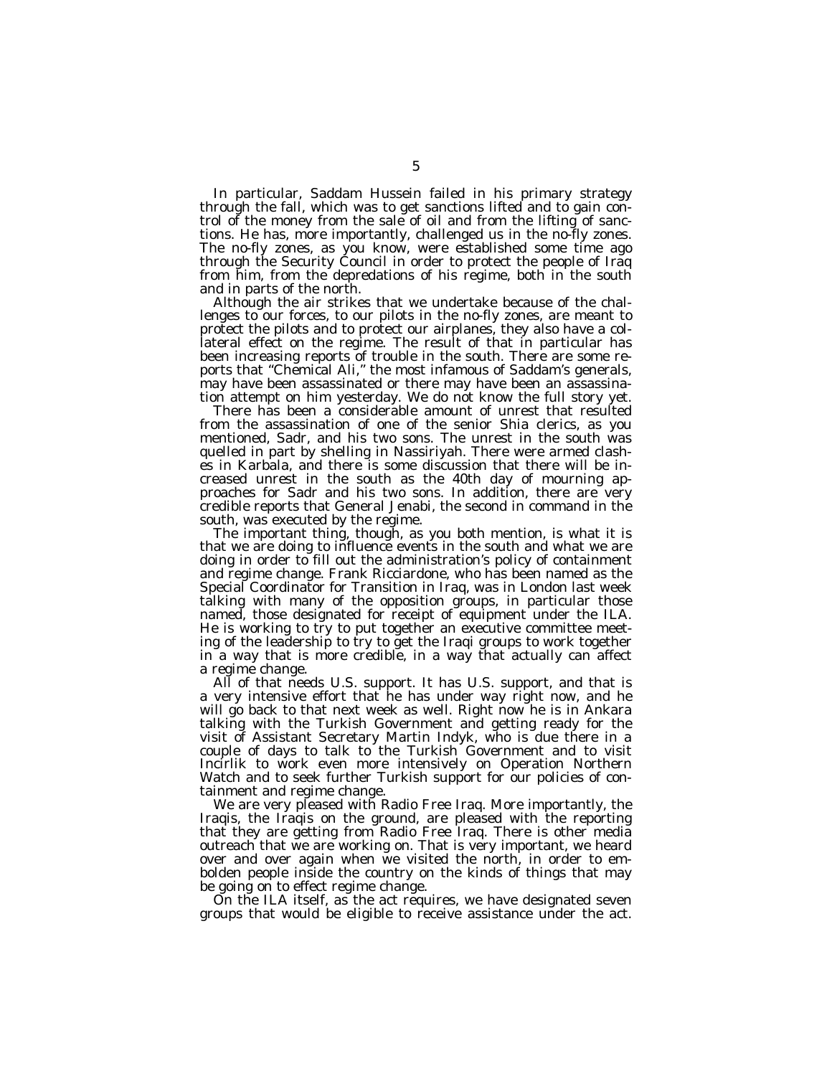In particular, Saddam Hussein failed in his primary strategy through the fall, which was to get sanctions lifted and to gain control of the money from the sale of oil and from the lifting of sanctions. He has, more importantly, challenged us in the no-fly zones. The no-fly zones, as you know, were established some time ago through the Security Council in order to protect the people of Iraq from him, from the depredations of his regime, both in the south and in parts of the north.

Although the air strikes that we undertake because of the challenges to our forces, to our pilots in the no-fly zones, are meant to protect the pilots and to protect our airplanes, they also have a collateral effect on the regime. The result of that in particular has been increasing reports of trouble in the south. There are some reports that ''Chemical Ali,'' the most infamous of Saddam's generals, may have been assassinated or there may have been an assassination attempt on him yesterday. We do not know the full story yet.

There has been a considerable amount of unrest that resulted from the assassination of one of the senior Shia clerics, as you mentioned, Sadr, and his two sons. The unrest in the south was quelled in part by shelling in Nassiriyah. There were armed clashes in Karbala, and there is some discussion that there will be increased unrest in the south as the 40th day of mourning approaches for Sadr and his two sons. In addition, there are very credible reports that General Jenabi, the second in command in the south, was executed by the regime.

The important thing, though, as you both mention, is what it is that we are doing to influence events in the south and what we are doing in order to fill out the administration's policy of containment and regime change. Frank Ricciardone, who has been named as the Special Coordinator for Transition in Iraq, was in London last week talking with many of the opposition groups, in particular those named, those designated for receipt of equipment under the ILA. He is working to try to put together an executive committee meeting of the leadership to try to get the Iraqi groups to work together in a way that is more credible, in a way that actually can affect a regime change.

All of that needs U.S. support. It has U.S. support, and that is a very intensive effort that he has under way right now, and he will go back to that next week as well. Right now he is in Ankara talking with the Turkish Government and getting ready for the visit of Assistant Secretary Martin Indyk, who is due there in a couple of days to talk to the Turkish Government and to visit Incirlik to work even more intensively on Operation Northern Watch and to seek further Turkish support for our policies of containment and regime change.

We are very pleased with Radio Free Iraq. More importantly, the Iraqis, the Iraqis on the ground, are pleased with the reporting that they are getting from Radio Free Iraq. There is other media outreach that we are working on. That is very important, we heard over and over again when we visited the north, in order to embolden people inside the country on the kinds of things that may be going on to effect regime change.

On the ILA itself, as the act requires, we have designated seven groups that would be eligible to receive assistance under the act.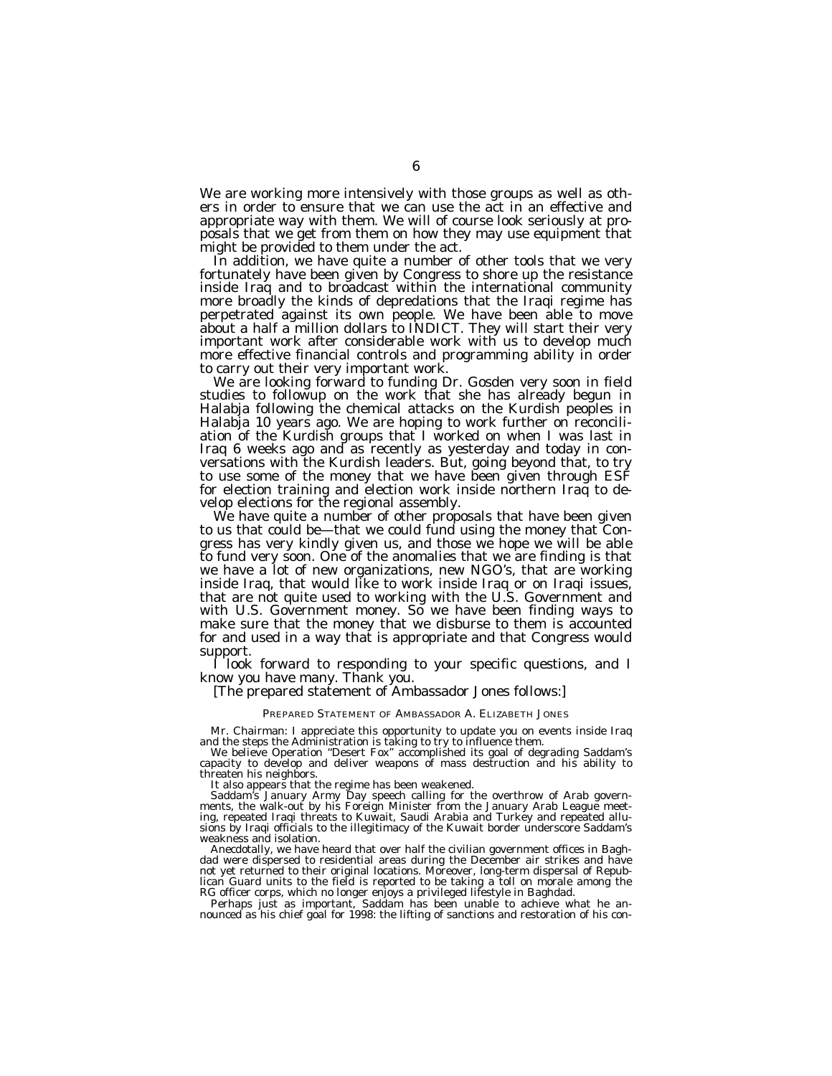We are working more intensively with those groups as well as others in order to ensure that we can use the act in an effective and appropriate way with them. We will of course look seriously at proposals that we get from them on how they may use equipment that might be provided to them under the act.

In addition, we have quite a number of other tools that we very fortunately have been given by Congress to shore up the resistance inside Iraq and to broadcast within the international community more broadly the kinds of depredations that the Iraqi regime has perpetrated against its own people. We have been able to move about a half a million dollars to INDICT. They will start their very important work after considerable work with us to develop much more effective financial controls and programming ability in order

to carry out their very important work. We are looking forward to funding Dr. Gosden very soon in field studies to followup on the work that she has already begun in Halabja following the chemical attacks on the Kurdish peoples in Halabja 10 years ago. We are hoping to work further on reconciliation of the Kurdish groups that I worked on when I was last in Iraq 6 weeks ago and as recently as yesterday and today in conversations with the Kurdish leaders. But, going beyond that, to try to use some of the money that we have been given through ESF for election training and election work inside northern Iraq to de-<br>velop elections for the regional assembly.

We have quite a number of other proposals that have been given to us that could be—that we could fund using the money that Congress has very kindly given us, and those we hope we will be able to fund very soon. One of the anomalies that we are finding is that we have a lot of new organizations, new NGO's, that are working inside Iraq, that would like to work inside Iraq or on Iraqi issues, that are not quite used to working with the U.S. Government and with U.S. Government money. So we have been finding ways to make sure that the money that we disburse to them is accounted for and used in a way that is appropriate and that Congress would support.

I look forward to responding to your specific questions, and I know you have many. Thank you. [The prepared statement of Ambassador Jones follows:]

#### PREPARED STATEMENT OF AMBASSADOR A. ELIZABETH JONES

Mr. Chairman: I appreciate this opportunity to update you on events inside Iraq<br>and the steps the Administration is taking to try to influence them.<br>We believe Operation "Desert Fox" accomplished its goal of degrading Sadd

It also appears that the regime has been weakened.

Saddam's January Army Day speech calling for the overthrow of Arab governments, the walk-out by his Foreign Minister from the January Arab League meeting, repeated Iraqi threats to Kuwait, Saudi Arabia and Turkey and repeated allusions by Iraqi officials to the illegitimacy of the Kuwait border underscore Saddam's weakness and isolation.

Anecdotally, we have heard that over half the civilian government offices in Baghdad were dispersed to residential areas during the December air strikes and have not yet returned to their original locations. Moreover, long-term dispersal of Republican Guard units to the field is reported to be taking a toll on morale among the

RG officer corps, which no longer enjoys a privileged lifestyle in Baghdad.<br>Perhaps just as important, Saddam has been unable to achieve what he an-<br>nounced as his chief goal for 1998: the lifting of sanctions and restorat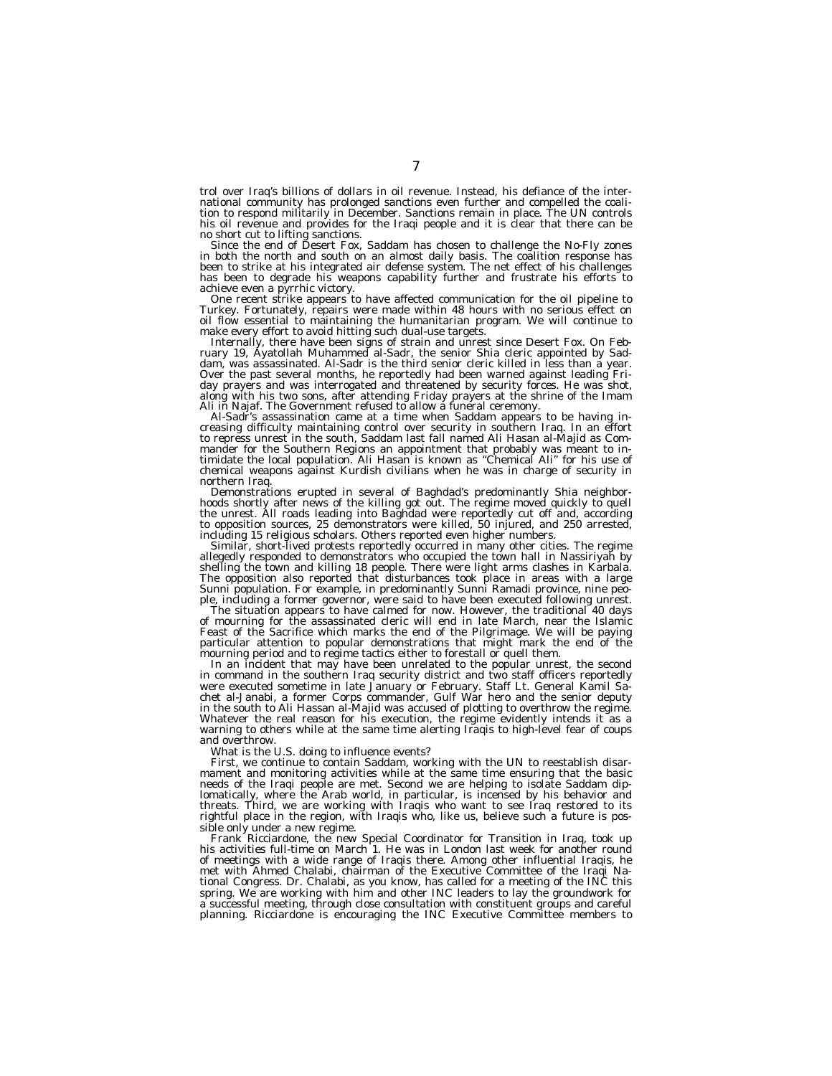trol over Iraq's billions of dollars in oil revenue. Instead, his defiance of the international community has prolonged sanctions even further and compelled the coali-tion to respond militarily in December. Sanctions remain in place. The UN controls his oil revenue and provides for the Iraqi people and it is clear that there can be

no short cut to lifting sanctions. Since the end of Desert Fox, Saddam has chosen to challenge the No-Fly zones in both the north and south on an almost daily basis. The coalition response has been to strike at his integrated air defense system. The net effect of his challenges has been to degrade his weapons capability further and frustrate his efforts to achieve even a pyrrhic victory. One recent strike appears to have affected communication for the oil pipeline to

Turkey. Fortunately, repairs were made within 48 hours with no serious effect on oil flow essential to maintaining the humanitarian program. We will continue to make every effort to avoid hitting such dual use targets.

Internally, there have been signs of strain and unrest since Desert Fox. On Feb- ruary 19, Ayatollah Muhammed al-Sadr, the senior Shia cleric appointed by Saddam, was assassinated. Al-Sadr is the third senior cleric killed in less than a year. Over the past several months, he reportedly had been warned against leading Friday prayers and was interrogated and threatened by security forces. He was shot, along with his two sons, after attending Friday prayers at the shrine of the Imam<br>Ali in Najaf. The Government refused to allow a funeral ceremony.

Ali in Najaf. The Government refused to allow a funeral ceremony.<br>Al-Sadr's assassination came at a time when Saddam appears to be having increasing difficulty maintaining control over security in southern Iraq. In an effo mander for the Southern Regions an appointment that probably was meant to in-timidate the local population. Ali Hasan is known as ''Chemical Ali'' for his use of chemical weapons against Kurdish civilians when he was in charge of security in northern Iraq.

Demonstrations erupted in several of Baghdad's predominantly Shia neighbor-<br>hoods shortly after news of the killing got out. The regime moved quickly to quell<br>the unpet all reads looding into Rachad unon precisely to the d the unrest. All roads leading into Baghdad were reportedly cut off and, according to opposition sources, 25 demonstrators were killed, 50 injured, and 250 arrested, including 15 religious scholars. Others reported even higher numbers.

Similar, short-lived protests reportedly occurred in many other cities. The regime allegedly responded to demonstrators who occupied the town hall in Nassiriyah by shelling the town and killing 18 people. There were light arms clashes in Karbala. The opposition also reported that disturbances took place in areas with a large Sunni population. For example, in predominantly Sunni Ramadi province, nine peo-<br>ple, including a former governor, were said to have been executed following unrest.

The situation appears to have calmed for now. However, the traditional 40 days<br>of mourning for the assassinated cleric will end in late March, near the Islamic Feast of the Sacrifice which marks the end of the Pilgrimage. We will be paying particular attention to popular demonstrations that might mark the end of the mourning period and to regime tactics either to forestall or quell them.

In an incident that may have been unrelated to the popular unrest, the second in command in the southern Iraq security district and two staff officers reportedly were executed sometime in late January or February. Staff Lt. General Kamil Sachet al-Janabi, a former Corps commander, Gulf War hero and the senior deputy in the south to Ali Hassan al-Majid was accused of plotting to overthrow the regime. Whatever the real reason for his execution, the regime evidently intends it as a warning to others while at the same time alerting Iraqis to high-level fear of coups and overthrow.

What is the U.S. doing to influence events?

First, we continue to contain Saddam, working with the UN to reestablish disarmament and monitoring activities while at the same time ensuring that the basic needs of the Iraqi people are met. Second we are helping to isolate Saddam diplomatically, where the Arab world, in particular, is incensed by his behavior and threats. Third, we are working with Iraqis who want to see Iraq restored to its rightful place in the region, with Iraqis who, like us, believe such a future is possible only under a new regime.

Frank Ricciardone, the new Special Coordinator for Transition in Iraq, took up his activities full-time on March 1. He was in London last week for another round of meetings with a wide range of Iraqis there. Among other influential Iraqis, he met with Ahmed Chalabi, chairman of the Executive Committee of the Iraqi National Congress. Dr. Chalabi, as you know, has called for a meeting of the INC this spring. We are working with him and other INC leaders to lay the groundwork for a successful meeting, through close consultation with constituent groups and careful planning. Ricciardone is encouraging the INC Executive Committee members to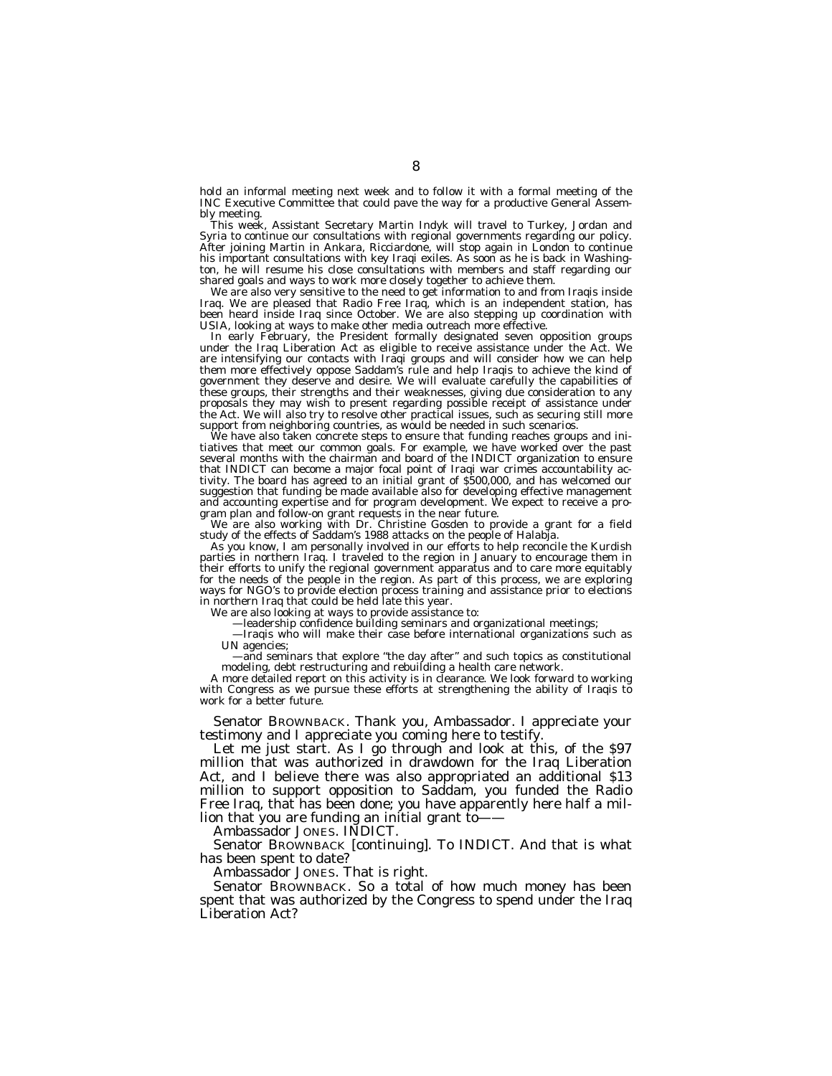hold an informal meeting next week and to follow it with a formal meeting of the INC Executive Committee that could pave the way for a productive General Assembly meeting.

This week, Assistant Secretary Martin Indyk will travel to Turkey, Jordan and Syria to continue our consultations with regional governments regarding our policy. After joining Martin in Ankara, Ricciardone, will stop again in London to continue his important consultations with key Iraqi exiles. As soon as he is back in Washington, he will resume his close consultations with members and staff regarding our shared goals and ways to work more closely together to achieve them.

We are also very sensitive to the need to get information to and from Iraqis inside Iraq. We are pleased that Radio Free Iraq, which is an independent station, has been heard inside Iraq since October. We are also stepping up coordination with USIA, looking at ways to make other media outreach more effective.

In early February, the President formally designated seven opposition groups under the Iraq Liberation Act as eligible to receive assistance under the Act. We are intensifying our contacts with Iraqi groups and will consider how we can help them more effectively oppose Saddam's rule and help Iraqis to achieve the kind of government they deserve and desire. We will evaluate carefully the capabilities of these groups, their strengths and their weaknesses, giving due consideration to any proposals they may wish to present regarding possible receipt of assistance under the Act. We will also try to resolve other practical issues, such as securing still more support from neighboring countries, as would be needed in such scenarios.

We have also taken concrete steps to ensure that funding reaches groups and initiatives that meet our common goals. For example, we have worked over the past several months with the chairman and board of the INDICT organization to ensure that INDICT can become a major focal point of Iraqi war crimes accountability activity. The board has agreed to an initial grant of \$500,000, and has welcomed our suggestion that funding be made available also for developing effective management and accounting expertise and for program development. We expect to receive a program plan and follow-on grant requests in the near future.

We are also working with Dr. Christine Gosden to provide a grant for a field study of the effects of Saddam's 1988 attacks on the people of Halabja.

As you know, I am personally involved in our efforts to help reconcile the Kurdish parties in northern Iraq. I traveled to the region in January to encourage them in their efforts to unify the regional government apparatus and to care more equitably for the needs of the people in the region. As part of this process, we are exploring ways for NGO's to provide election process training and assistance prior to elections in northern Iraq that could be held late this year.

We are also looking at ways to provide assistance to:

—leadership confidence building seminars and organizational meetings;

—Iraqis who will make their case before international organizations such as UN agencies;

—and seminars that explore ''the day after'' and such topics as constitutional modeling, debt restructuring and rebuilding a health care network.

A more detailed report on this activity is in clearance. We look forward to working with Congress as we pursue these efforts at strengthening the ability of Iraqis to work for a better future.

Senator BROWNBACK. Thank you, Ambassador. I appreciate your testimony and I appreciate you coming here to testify.

Let me just start. As I go through and look at this, of the \$97 million that was authorized in drawdown for the Iraq Liberation Act, and I believe there was also appropriated an additional \$13 million to support opposition to Saddam, you funded the Radio Free Iraq, that has been done; you have apparently here half a million that you are funding an initial grant to——

Ambassador JONES. INDICT.

Senator BROWNBACK [continuing]. To INDICT. And that is what has been spent to date?

Ambassador JONES. That is right.

Senator BROWNBACK. So a total of how much money has been spent that was authorized by the Congress to spend under the Iraq Liberation Act?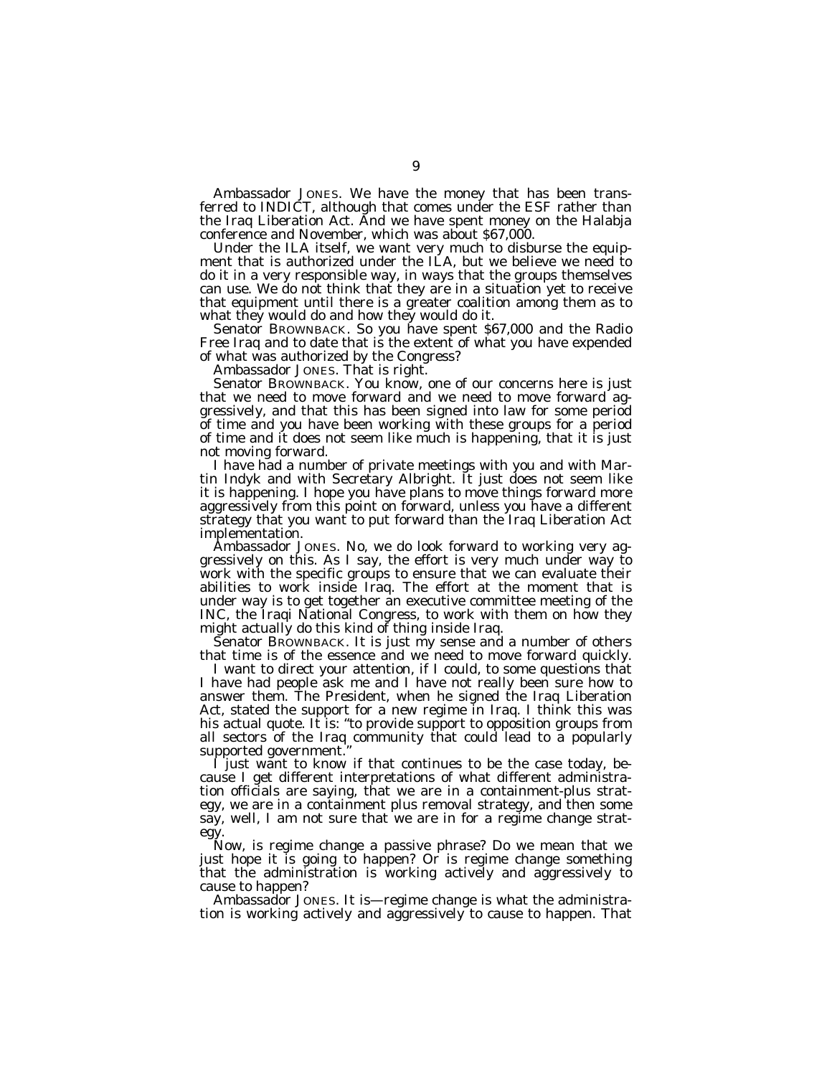Ambassador JONES. We have the money that has been transferred to INDICT, although that comes under the ESF rather than the Iraq Liberation Act. And we have spent money on the Halabja conference and November, which was about \$67,000.

Under the ILA itself, we want very much to disburse the equipment that is authorized under the ILA, but we believe we need to do it in a very responsible way, in ways that the groups themselves can use. We do not think that they are in a situation yet to receive that equipment until there is a greater coalition among them as to what they would do and how they would do it.

Senator BROWNBACK. So you have spent \$67,000 and the Radio Free Iraq and to date that is the extent of what you have expended of what was authorized by the Congress?

Ambassador JONES. That is right.

Senator BROWNBACK. You know, one of our concerns here is just that we need to move forward and we need to move forward aggressively, and that this has been signed into law for some period of time and you have been working with these groups for a period of time and it does not seem like much is happening, that it is just not moving forward.

I have had a number of private meetings with you and with Martin Indyk and with Secretary Albright. It just does not seem like it is happening. I hope you have plans to move things forward more aggressively from this point on forward, unless you have a different strategy that you want to put forward than the Iraq Liberation Act implementation.

Ambassador JONES. No, we do look forward to working very aggressively on this. As I say, the effort is very much under way to work with the specific groups to ensure that we can evaluate their abilities to work inside Iraq. The effort at the moment that is under way is to get together an executive committee meeting of the INC, the Iraqi National Congress, to work with them on how they might actually do this kind of thing inside Iraq.

Senator BROWNBACK. It is just my sense and a number of others that time is of the essence and we need to move forward quickly.

I want to direct your attention, if I could, to some questions that I have had people ask me and I have not really been sure how to answer them. The President, when he signed the Iraq Liberation Act, stated the support for a new regime in Iraq. I think this was his actual quote. It is: ''to provide support to opposition groups from all sectors of the Iraq community that could lead to a popularly supported government.''

I just want to know if that continues to be the case today, because I get different interpretations of what different administration officials are saying, that we are in a containment-plus strategy, we are in a containment plus removal strategy, and then some say, well, I am not sure that we are in for a regime change strategy.

Now, is regime change a passive phrase? Do we mean that we just hope it is going to happen? Or is regime change something that the administration is working actively and aggressively to cause to happen?

Ambassador JONES. It is—regime change is what the administration is working actively and aggressively to cause to happen. That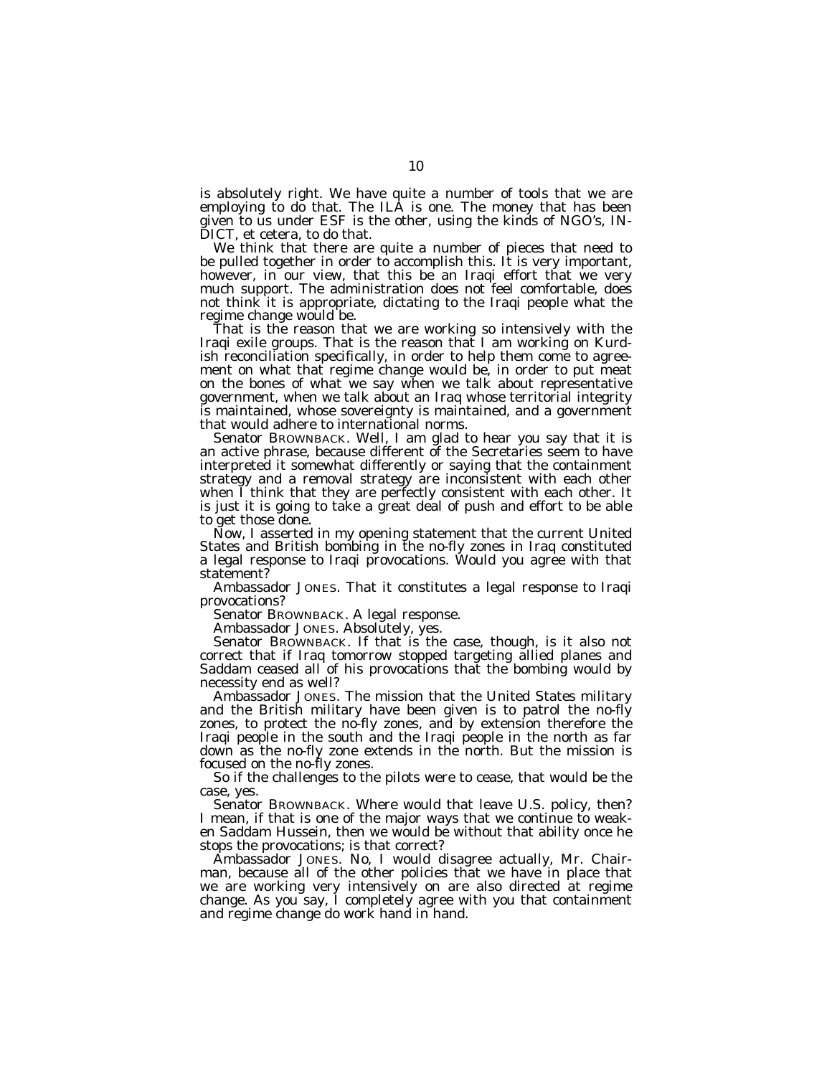is absolutely right. We have quite a number of tools that we are employing to do that. The ILA is one. The money that has been given to us under ESF is the other, using the kinds of NGO's, IN-DICT, et cetera, to do that.

We think that there are quite a number of pieces that need to be pulled together in order to accomplish this. It is very important, however, in our view, that this be an Iraqi effort that we very much support. The administration does not feel comfortable, does not think it is appropriate, dictating to the Iraqi people what the regime change would be.

That is the reason that we are working so intensively with the Iraqi exile groups. That is the reason that I am working on Kurdish reconciliation specifically, in order to help them come to agreement on what that regime change would be, in order to put meat on the bones of what we say when we talk about representative government, when we talk about an Iraq whose territorial integrity is maintained, whose sovereignty is maintained, and a government that would adhere to international norms.

Senator BROWNBACK. Well, I am glad to hear you say that it is an active phrase, because different of the Secretaries seem to have interpreted it somewhat differently or saying that the containment strategy and a removal strategy are inconsistent with each other when I think that they are perfectly consistent with each other. It is just it is going to take a great deal of push and effort to be able to get those done.

Now, I asserted in my opening statement that the current United States and British bombing in the no-fly zones in Iraq constituted a legal response to Iraqi provocations. Would you agree with that statement?

Ambassador JONES. That it constitutes a legal response to Iraqi provocations?

Senator BROWNBACK. A legal response.

Ambassador JONES. Absolutely, yes.

Senator BROWNBACK. If that is the case, though, is it also not correct that if Iraq tomorrow stopped targeting allied planes and Saddam ceased all of his provocations that the bombing would by necessity end as well?

Ambassador JONES. The mission that the United States military and the British military have been given is to patrol the no-fly zones, to protect the no-fly zones, and by extension therefore the Iraqi people in the south and the Iraqi people in the north as far down as the no-fly zone extends in the north. But the mission is focused on the no-fly zones.

So if the challenges to the pilots were to cease, that would be the case, yes.

Senator BROWNBACK. Where would that leave U.S. policy, then? I mean, if that is one of the major ways that we continue to weaken Saddam Hussein, then we would be without that ability once he stops the provocations; is that correct?

Ambassador JONES. No, I would disagree actually, Mr. Chairman, because all of the other policies that we have in place that we are working very intensively on are also directed at regime change. As you say, I completely agree with you that containment and regime change do work hand in hand.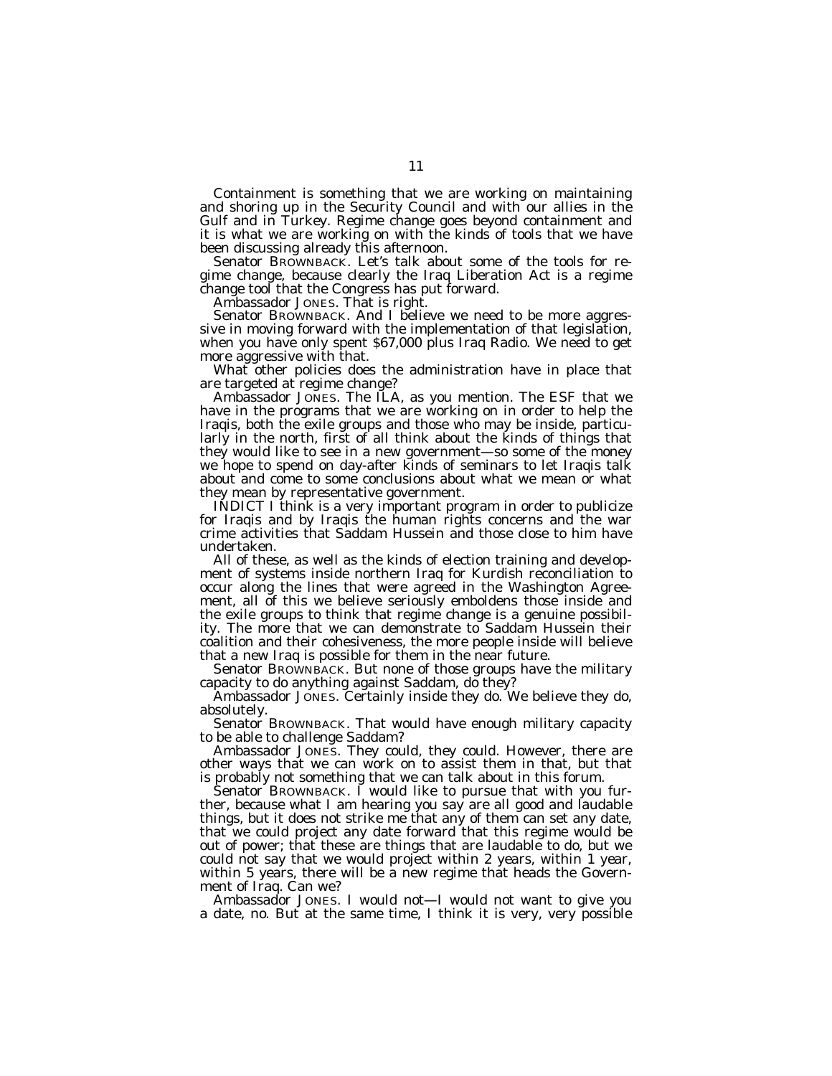Containment is something that we are working on maintaining and shoring up in the Security Council and with our allies in the Gulf and in Turkey. Regime change goes beyond containment and it is what we are working on with the kinds of tools that we have been discussing already this afternoon.

Senator BROWNBACK. Let's talk about some of the tools for regime change, because clearly the Iraq Liberation Act is a regime change tool that the Congress has put forward.

Ambassador JONES. That is right.

Senator BROWNBACK. And I believe we need to be more aggressive in moving forward with the implementation of that legislation, when you have only spent \$67,000 plus Iraq Radio. We need to get more aggressive with that.

What other policies does the administration have in place that are targeted at regime change?

Ambassador JONES. The ILA, as you mention. The ESF that we have in the programs that we are working on in order to help the Iraqis, both the exile groups and those who may be inside, particularly in the north, first of all think about the kinds of things that they would like to see in a new government—so some of the money we hope to spend on day-after kinds of seminars to let Iraqis talk about and come to some conclusions about what we mean or what they mean by representative government.

INDICT I think is a very important program in order to publicize for Iraqis and by Iraqis the human rights concerns and the war crime activities that Saddam Hussein and those close to him have undertaken.

All of these, as well as the kinds of election training and development of systems inside northern Iraq for Kurdish reconciliation to occur along the lines that were agreed in the Washington Agreement, all of this we believe seriously emboldens those inside and the exile groups to think that regime change is a genuine possibility. The more that we can demonstrate to Saddam Hussein their coalition and their cohesiveness, the more people inside will believe that a new Iraq is possible for them in the near future.

Senator BROWNBACK. But none of those groups have the military capacity to do anything against Saddam, do they?

Ambassador JONES. Certainly inside they do. We believe they do, absolutely.

Senator BROWNBACK. That would have enough military capacity to be able to challenge Saddam?

Ambassador JONES. They could, they could. However, there are other ways that we can work on to assist them in that, but that is probably not something that we can talk about in this forum.

Senator BROWNBACK. I would like to pursue that with you further, because what I am hearing you say are all good and laudable things, but it does not strike me that any of them can set any date, that we could project any date forward that this regime would be out of power; that these are things that are laudable to do, but we could not say that we would project within 2 years, within 1 year, within 5 years, there will be a new regime that heads the Government of Iraq. Can we?

Ambassador JONES. I would not—I would not want to give you a date, no. But at the same time, I think it is very, very possible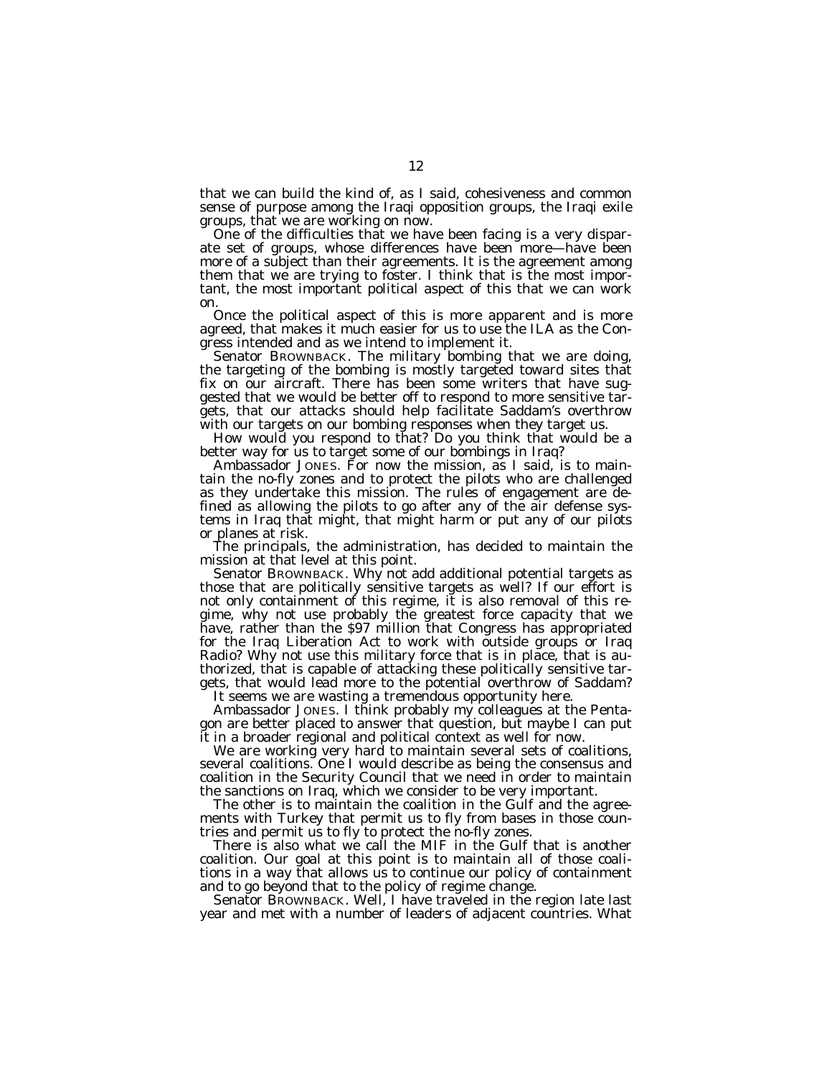that we can build the kind of, as I said, cohesiveness and common sense of purpose among the Iraqi opposition groups, the Iraqi exile groups, that we are working on now.

One of the difficulties that we have been facing is a very disparate set of groups, whose differences have been more—have been more of a subject than their agreements. It is the agreement among them that we are trying to foster. I think that is the most important, the most important political aspect of this that we can work on.

Once the political aspect of this is more apparent and is more agreed, that makes it much easier for us to use the ILA as the Congress intended and as we intend to implement it.

Senator BROWNBACK. The military bombing that we are doing, the targeting of the bombing is mostly targeted toward sites that fix on our aircraft. There has been some writers that have suggested that we would be better off to respond to more sensitive targets, that our attacks should help facilitate Saddam's overthrow with our targets on our bombing responses when they target us.

How would you respond to that? Do you think that would be a better way for us to target some of our bombings in Iraq?

Ambassador JONES. For now the mission, as I said, is to maintain the no-fly zones and to protect the pilots who are challenged as they undertake this mission. The rules of engagement are defined as allowing the pilots to go after any of the air defense systems in Iraq that might, that might harm or put any of our pilots or planes at risk.

The principals, the administration, has decided to maintain the mission at that level at this point.

Senator BROWNBACK. Why not add additional potential targets as those that are politically sensitive targets as well? If our effort is not only containment of this regime, it is also removal of this regime, why not use probably the greatest force capacity that we have, rather than the \$97 million that Congress has appropriated for the Iraq Liberation Act to work with outside groups or Iraq Radio? Why not use this military force that is in place, that is authorized, that is capable of attacking these politically sensitive targets, that would lead more to the potential overthrow of Saddam?

It seems we are wasting a tremendous opportunity here.

Ambassador JONES. I think probably my colleagues at the Pentagon are better placed to answer that question, but maybe I can put it in a broader regional and political context as well for now.

We are working very hard to maintain several sets of coalitions, several coalitions. One I would describe as being the consensus and coalition in the Security Council that we need in order to maintain the sanctions on Iraq, which we consider to be very important.

The other is to maintain the coalition in the Gulf and the agreements with Turkey that permit us to fly from bases in those countries and permit us to fly to protect the no-fly zones.

There is also what we call the MIF in the Gulf that is another coalition. Our goal at this point is to maintain all of those coalitions in a way that allows us to continue our policy of containment and to go beyond that to the policy of regime change.

Senator BROWNBACK. Well, I have traveled in the region late last year and met with a number of leaders of adjacent countries. What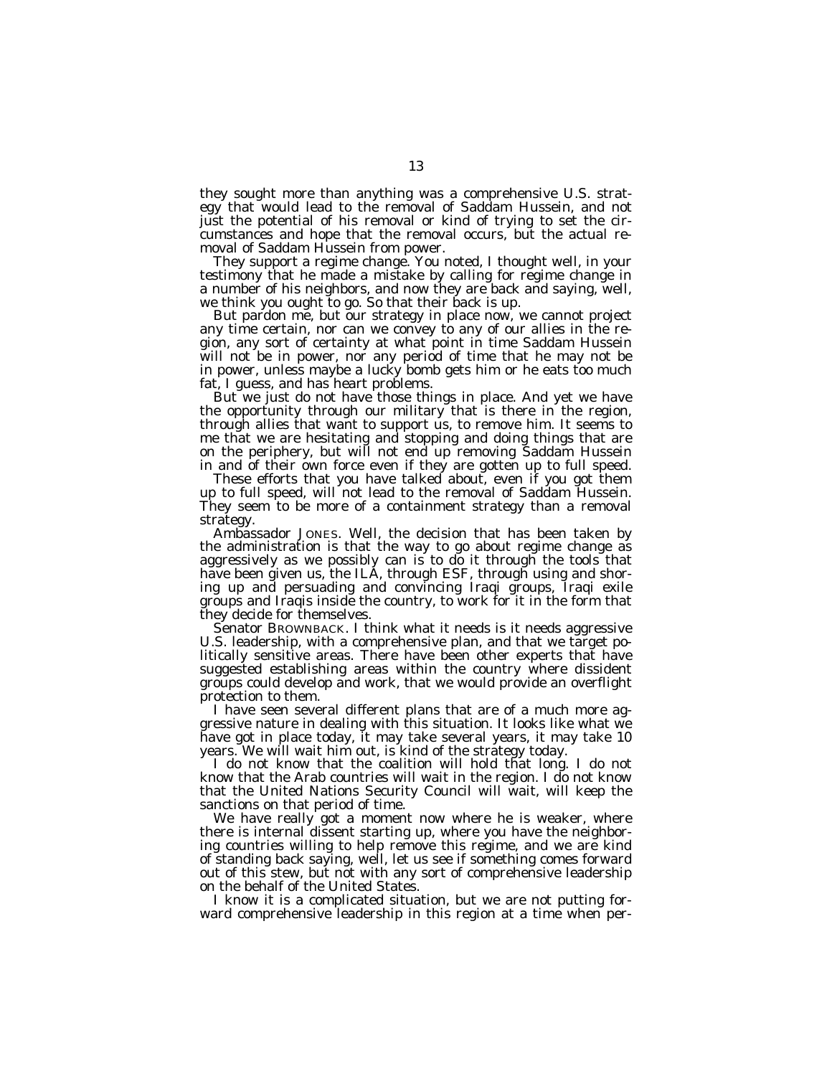they sought more than anything was a comprehensive U.S. strategy that would lead to the removal of Saddam Hussein, and not just the potential of his removal or kind of trying to set the circumstances and hope that the removal occurs, but the actual removal of Saddam Hussein from power.

They support a regime change. You noted, I thought well, in your testimony that he made a mistake by calling for regime change in a number of his neighbors, and now they are back and saying, well, we think you ought to go. So that their back is up.

But pardon me, but our strategy in place now, we cannot project any time certain, nor can we convey to any of our allies in the region, any sort of certainty at what point in time Saddam Hussein will not be in power, nor any period of time that he may not be in power, unless maybe a lucky bomb gets him or he eats too much fat, I guess, and has heart problems.

But we just do not have those things in place. And yet we have the opportunity through our military that is there in the region, through allies that want to support us, to remove him. It seems to me that we are hesitating and stopping and doing things that are on the periphery, but will not end up removing Saddam Hussein in and of their own force even if they are gotten up to full speed.

These efforts that you have talked about, even if you got them up to full speed, will not lead to the removal of Saddam Hussein. They seem to be more of a containment strategy than a removal strategy.

Ambassador JONES. Well, the decision that has been taken by the administration is that the way to go about regime change as aggressively as we possibly can is to do it through the tools that have been given us, the ILA, through ESF, through using and shoring up and persuading and convincing Iraqi groups, Iraqi exile groups and Iraqis inside the country, to work for it in the form that they decide for themselves.

Senator BROWNBACK. I think what it needs is it needs aggressive U.S. leadership, with a comprehensive plan, and that we target politically sensitive areas. There have been other experts that have suggested establishing areas within the country where dissident groups could develop and work, that we would provide an overflight protection to them.

I have seen several different plans that are of a much more aggressive nature in dealing with this situation. It looks like what we have got in place today, it may take several years, it may take 10 years. We will wait him out, is kind of the strategy today.

I do not know that the coalition will hold that long. I do not know that the Arab countries will wait in the region. I do not know that the United Nations Security Council will wait, will keep the sanctions on that period of time.

We have really got a moment now where he is weaker, where there is internal dissent starting up, where you have the neighboring countries willing to help remove this regime, and we are kind of standing back saying, well, let us see if something comes forward out of this stew, but not with any sort of comprehensive leadership on the behalf of the United States.

I know it is a complicated situation, but we are not putting forward comprehensive leadership in this region at a time when per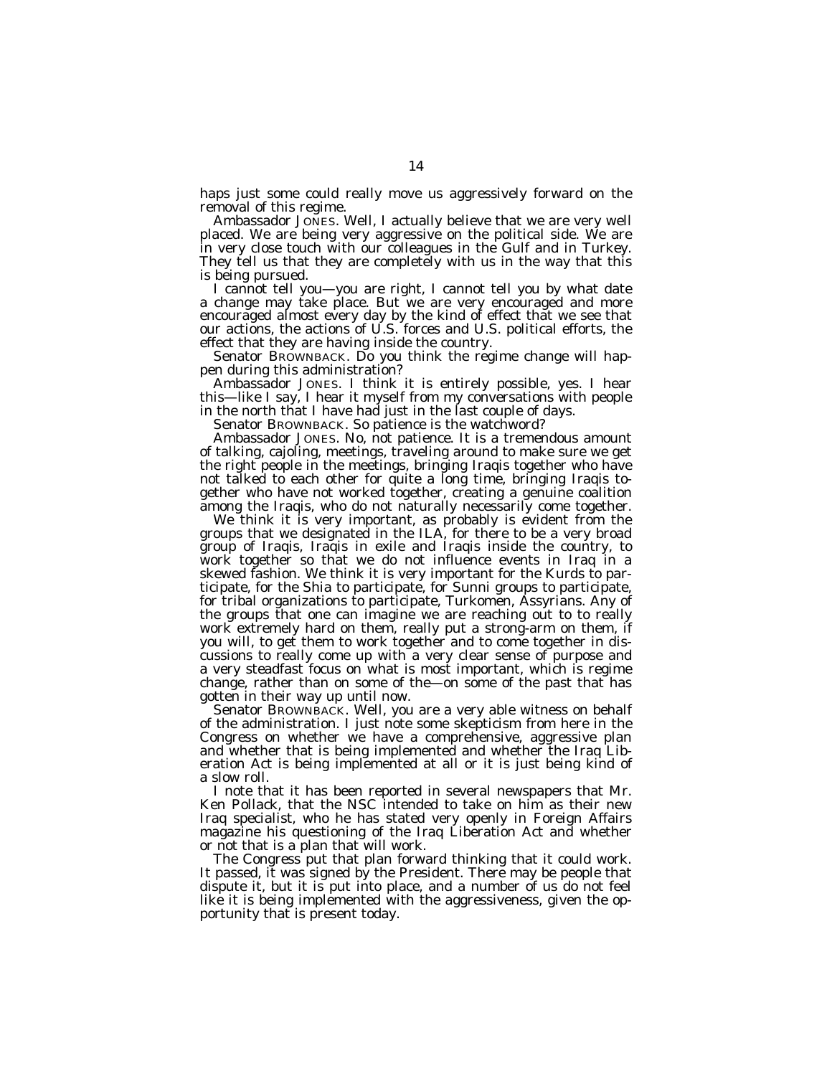haps just some could really move us aggressively forward on the removal of this regime.

Ambassador JONES. Well, I actually believe that we are very well placed. We are being very aggressive on the political side. We are in very close touch with our colleagues in the Gulf and in Turkey. They tell us that they are completely with us in the way that this is being pursued.

I cannot tell you—you are right, I cannot tell you by what date a change may take place. But we are very encouraged and more encouraged almost every day by the kind of effect that we see that our actions, the actions of U.S. forces and U.S. political efforts, the effect that they are having inside the country.

Senator BROWNBACK. Do you think the regime change will happen during this administration?

Ambassador JONES. I think it is entirely possible, yes. I hear this—like I say, I hear it myself from my conversations with people in the north that I have had just in the last couple of days.

Senator BROWNBACK. So patience is the watchword?

Ambassador JONES. No, not patience. It is a tremendous amount of talking, cajoling, meetings, traveling around to make sure we get the right people in the meetings, bringing Iraqis together who have not talked to each other for quite a long time, bringing Iraqis together who have not worked together, creating a genuine coalition among the Iraqis, who do not naturally necessarily come together.

We think it is very important, as probably is evident from the groups that we designated in the ILA, for there to be a very broad group of Iraqis, Iraqis in exile and Iraqis inside the country, to work together so that we do not influence events in Iraq in a skewed fashion. We think it is very important for the Kurds to participate, for the Shia to participate, for Sunni groups to participate, for tribal organizations to participate, Turkomen, Assyrians. Any of the groups that one can imagine we are reaching out to to really work extremely hard on them, really put a strong-arm on them, if you will, to get them to work together and to come together in discussions to really come up with a very clear sense of purpose and a very steadfast focus on what is most important, which is regime change, rather than on some of the—on some of the past that has gotten in their way up until now.

Senator BROWNBACK. Well, you are a very able witness on behalf of the administration. I just note some skepticism from here in the Congress on whether we have a comprehensive, aggressive plan and whether that is being implemented and whether the Iraq Liberation Act is being implemented at all or it is just being kind of a slow roll.

I note that it has been reported in several newspapers that Mr. Ken Pollack, that the NSC intended to take on him as their new Iraq specialist, who he has stated very openly in Foreign Affairs magazine his questioning of the Iraq Liberation Act and whether or not that is a plan that will work.

The Congress put that plan forward thinking that it could work. It passed, it was signed by the President. There may be people that dispute it, but it is put into place, and a number of us do not feel like it is being implemented with the aggressiveness, given the opportunity that is present today.